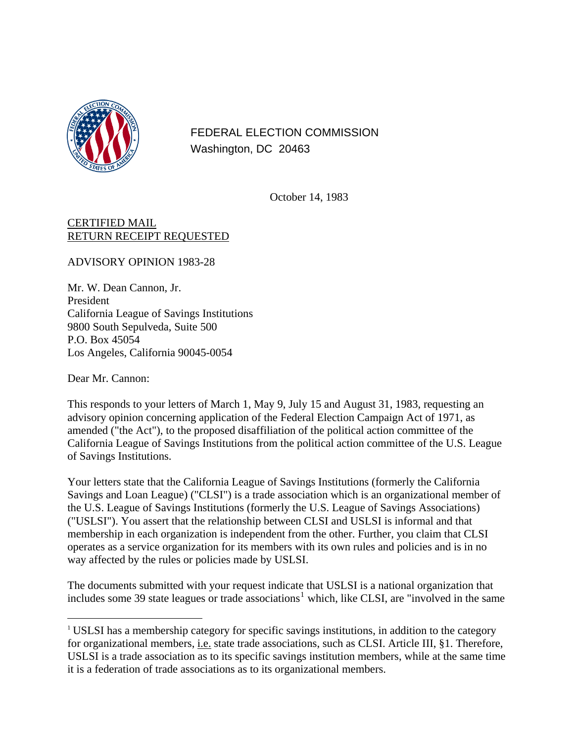

FEDERAL ELECTION COMMISSION Washington, DC 20463

October 14, 1983

## CERTIFIED MAIL RETURN RECEIPT REQUESTED

ADVISORY OPINION 1983-28

Mr. W. Dean Cannon, Jr. President California League of Savings Institutions 9800 South Sepulveda, Suite 500 P.O. Box 45054 Los Angeles, California 90045-0054

Dear Mr. Cannon:

 $\overline{a}$ 

This responds to your letters of March 1, May 9, July 15 and August 31, 1983, requesting an advisory opinion concerning application of the Federal Election Campaign Act of 1971, as amended ("the Act"), to the proposed disaffiliation of the political action committee of the California League of Savings Institutions from the political action committee of the U.S. League of Savings Institutions.

Your letters state that the California League of Savings Institutions (formerly the California Savings and Loan League) ("CLSI") is a trade association which is an organizational member of the U.S. League of Savings Institutions (formerly the U.S. League of Savings Associations) ("USLSI"). You assert that the relationship between CLSI and USLSI is informal and that membership in each organization is independent from the other. Further, you claim that CLSI operates as a service organization for its members with its own rules and policies and is in no way affected by the rules or policies made by USLSI.

The documents submitted with your request indicate that USLSI is a national organization that includes some 39 state leagues or trade associations<sup>[1](#page-0-0)</sup> which, like CLSI, are "involved in the same

<span id="page-0-0"></span><sup>&</sup>lt;sup>1</sup> USLSI has a membership category for specific savings institutions, in addition to the category for organizational members, i.e. state trade associations, such as CLSI. Article III, §1. Therefore, USLSI is a trade association as to its specific savings institution members, while at the same time it is a federation of trade associations as to its organizational members.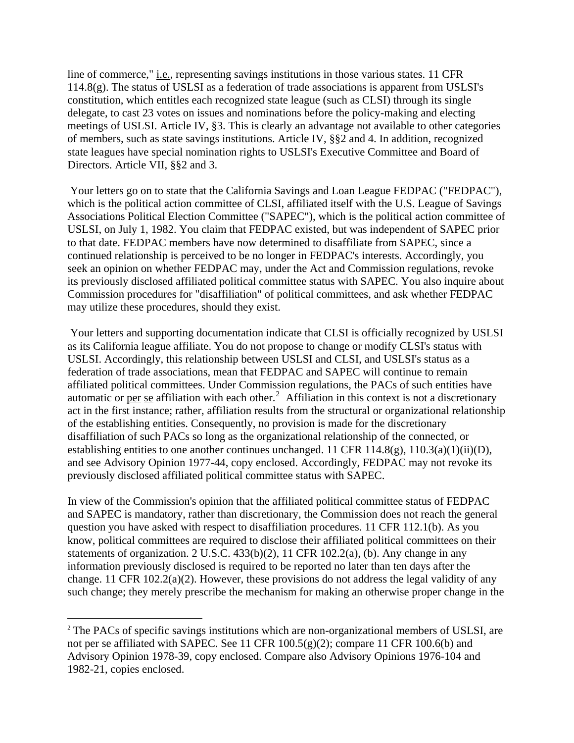line of commerce," *i.e.*, representing savings institutions in those various states. 11 CFR 114.8(g). The status of USLSI as a federation of trade associations is apparent from USLSI's constitution, which entitles each recognized state league (such as CLSI) through its single delegate, to cast 23 votes on issues and nominations before the policy-making and electing meetings of USLSI. Article IV, §3. This is clearly an advantage not available to other categories of members, such as state savings institutions. Article IV, §§2 and 4. In addition, recognized state leagues have special nomination rights to USLSI's Executive Committee and Board of Directors. Article VII, §§2 and 3.

 Your letters go on to state that the California Savings and Loan League FEDPAC ("FEDPAC"), which is the political action committee of CLSI, affiliated itself with the U.S. League of Savings Associations Political Election Committee ("SAPEC"), which is the political action committee of USLSI, on July 1, 1982. You claim that FEDPAC existed, but was independent of SAPEC prior to that date. FEDPAC members have now determined to disaffiliate from SAPEC, since a continued relationship is perceived to be no longer in FEDPAC's interests. Accordingly, you seek an opinion on whether FEDPAC may, under the Act and Commission regulations, revoke its previously disclosed affiliated political committee status with SAPEC. You also inquire about Commission procedures for "disaffiliation" of political committees, and ask whether FEDPAC may utilize these procedures, should they exist.

 Your letters and supporting documentation indicate that CLSI is officially recognized by USLSI as its California league affiliate. You do not propose to change or modify CLSI's status with USLSI. Accordingly, this relationship between USLSI and CLSI, and USLSI's status as a federation of trade associations, mean that FEDPAC and SAPEC will continue to remain affiliated political committees. Under Commission regulations, the PACs of such entities have automatic or per se affiliation with each other.<sup>[2](#page-1-0)</sup> Affiliation in this context is not a discretionary act in the first instance; rather, affiliation results from the structural or organizational relationship of the establishing entities. Consequently, no provision is made for the discretionary disaffiliation of such PACs so long as the organizational relationship of the connected, or establishing entities to one another continues unchanged. 11 CFR  $114.8(g)$ ,  $110.3(a)(1)(ii)(D)$ , and see Advisory Opinion 1977-44, copy enclosed. Accordingly, FEDPAC may not revoke its previously disclosed affiliated political committee status with SAPEC.

In view of the Commission's opinion that the affiliated political committee status of FEDPAC and SAPEC is mandatory, rather than discretionary, the Commission does not reach the general question you have asked with respect to disaffiliation procedures. 11 CFR 112.1(b). As you know, political committees are required to disclose their affiliated political committees on their statements of organization. 2 U.S.C.  $433(b)(2)$ , 11 CFR 102.2(a), (b). Any change in any information previously disclosed is required to be reported no later than ten days after the change. 11 CFR 102.2(a)(2). However, these provisions do not address the legal validity of any such change; they merely prescribe the mechanism for making an otherwise proper change in the

 $\overline{a}$ 

<span id="page-1-0"></span><sup>&</sup>lt;sup>2</sup> The PACs of specific savings institutions which are non-organizational members of USLSI, are not per se affiliated with SAPEC. See 11 CFR  $100.5(g)(2)$ ; compare 11 CFR  $100.6(b)$  and Advisory Opinion 1978-39, copy enclosed. Compare also Advisory Opinions 1976-104 and 1982-21, copies enclosed.